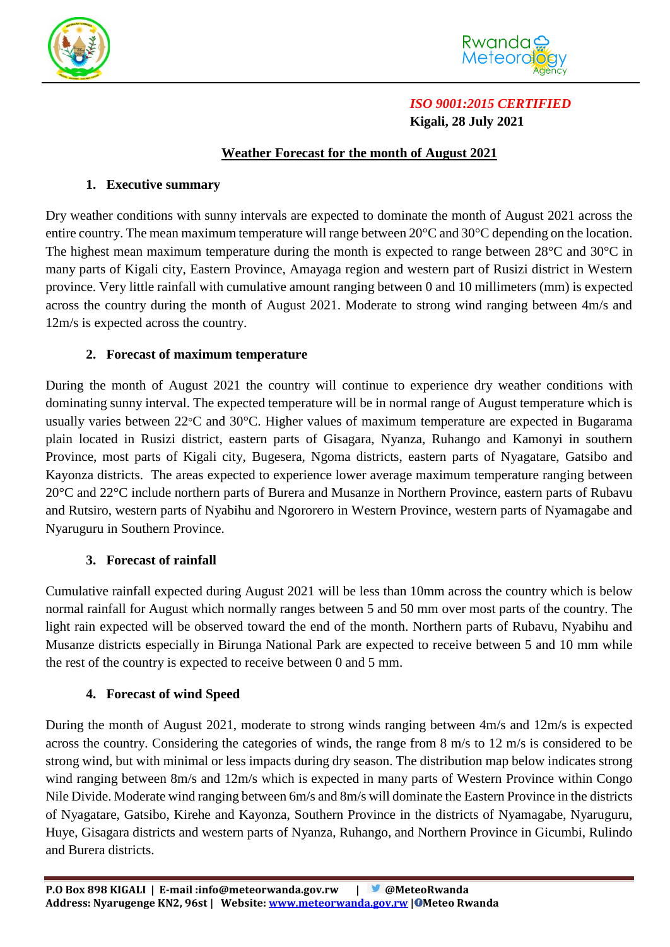



# *ISO 9001:2015 CERTIFIED*  **Kigali, 28 July 2021**

## **Weather Forecast for the month of August 2021**

#### **1. Executive summary**

Dry weather conditions with sunny intervals are expected to dominate the month of August 2021 across the entire country. The mean maximum temperature will range between 20°C and 30°C depending on the location. The highest mean maximum temperature during the month is expected to range between 28<sup>o</sup>C and 30<sup>o</sup>C in many parts of Kigali city, Eastern Province, Amayaga region and western part of Rusizi district in Western province. Very little rainfall with cumulative amount ranging between 0 and 10 millimeters (mm) is expected across the country during the month of August 2021. Moderate to strong wind ranging between 4m/s and 12m/s is expected across the country.

### **2. Forecast of maximum temperature**

During the month of August 2021 the country will continue to experience dry weather conditions with dominating sunny interval. The expected temperature will be in normal range of August temperature which is usually varies between 22°C and 30°C. Higher values of maximum temperature are expected in Bugarama plain located in Rusizi district, eastern parts of Gisagara, Nyanza, Ruhango and Kamonyi in southern Province, most parts of Kigali city, Bugesera, Ngoma districts, eastern parts of Nyagatare, Gatsibo and Kayonza districts. The areas expected to experience lower average maximum temperature ranging between 20°C and 22°C include northern parts of Burera and Musanze in Northern Province, eastern parts of Rubavu and Rutsiro, western parts of Nyabihu and Ngororero in Western Province, western parts of Nyamagabe and Nyaruguru in Southern Province.

### **3. Forecast of rainfall**

Cumulative rainfall expected during August 2021 will be less than 10mm across the country which is below normal rainfall for August which normally ranges between 5 and 50 mm over most parts of the country. The light rain expected will be observed toward the end of the month. Northern parts of Rubavu, Nyabihu and Musanze districts especially in Birunga National Park are expected to receive between 5 and 10 mm while the rest of the country is expected to receive between 0 and 5 mm.

### **4. Forecast of wind Speed**

During the month of August 2021, moderate to strong winds ranging between 4m/s and 12m/s is expected across the country. Considering the categories of winds, the range from 8 m/s to 12 m/s is considered to be strong wind, but with minimal or less impacts during dry season. The distribution map below indicates strong wind ranging between 8m/s and 12m/s which is expected in many parts of Western Province within Congo Nile Divide. Moderate wind ranging between 6m/s and 8m/s will dominate the Eastern Province in the districts of Nyagatare, Gatsibo, Kirehe and Kayonza, Southern Province in the districts of Nyamagabe, Nyaruguru, Huye, Gisagara districts and western parts of Nyanza, Ruhango, and Northern Province in Gicumbi, Rulindo and Burera districts.